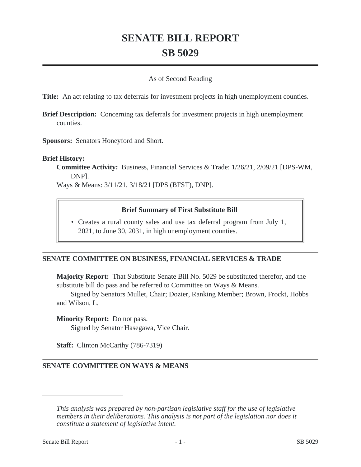# **SENATE BILL REPORT SB 5029**

## As of Second Reading

**Title:** An act relating to tax deferrals for investment projects in high unemployment counties.

**Brief Description:** Concerning tax deferrals for investment projects in high unemployment counties.

**Sponsors:** Senators Honeyford and Short.

#### **Brief History:**

**Committee Activity:** Business, Financial Services & Trade: 1/26/21, 2/09/21 [DPS-WM, DNP].

Ways & Means: 3/11/21, 3/18/21 [DPS (BFST), DNP].

#### **Brief Summary of First Substitute Bill**

• Creates a rural county sales and use tax deferral program from July 1, 2021, to June 30, 2031, in high unemployment counties.

## **SENATE COMMITTEE ON BUSINESS, FINANCIAL SERVICES & TRADE**

**Majority Report:** That Substitute Senate Bill No. 5029 be substituted therefor, and the substitute bill do pass and be referred to Committee on Ways & Means.

Signed by Senators Mullet, Chair; Dozier, Ranking Member; Brown, Frockt, Hobbs and Wilson, L.

**Minority Report:** Do not pass.

Signed by Senator Hasegawa, Vice Chair.

**Staff:** Clinton McCarthy (786-7319)

## **SENATE COMMITTEE ON WAYS & MEANS**

*This analysis was prepared by non-partisan legislative staff for the use of legislative members in their deliberations. This analysis is not part of the legislation nor does it constitute a statement of legislative intent.*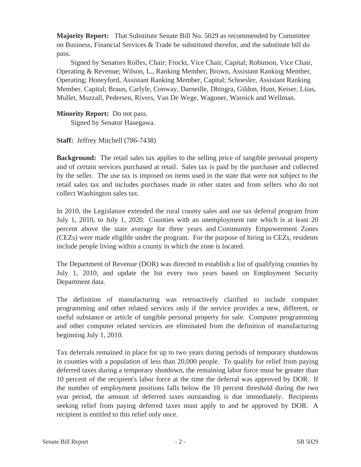**Majority Report:** That Substitute Senate Bill No. 5029 as recommended by Committee on Business, Financial Services & Trade be substituted therefor, and the substitute bill do pass.

Signed by Senators Rolfes, Chair; Frockt, Vice Chair, Capital; Robinson, Vice Chair, Operating & Revenue; Wilson, L., Ranking Member; Brown, Assistant Ranking Member, Operating; Honeyford, Assistant Ranking Member, Capital; Schoesler, Assistant Ranking Member, Capital; Braun, Carlyle, Conway, Darneille, Dhingra, Gildon, Hunt, Keiser, Liias, Mullet, Muzzall, Pedersen, Rivers, Van De Wege, Wagoner, Warnick and Wellman.

# **Minority Report:** Do not pass.

Signed by Senator Hasegawa.

**Staff:** Jeffrey Mitchell (786-7438)

**Background:** The retail sales tax applies to the selling price of tangible personal property and of certain services purchased at retail. Sales tax is paid by the purchaser and collected by the seller. The use tax is imposed on items used in the state that were not subject to the retail sales tax and includes purchases made in other states and from sellers who do not collect Washington sales tax.

In 2010, the Legislature extended the rural county sales and use tax deferral program from July 1, 2010, to July 1, 2020. Counties with an unemployment rate which is at least 20 percent above the state average for three years and Community Empowerment Zones (CEZs) were made eligible under the program. For the purpose of hiring in CEZs, residents include people living within a county in which the zone is located.

The Department of Revenue (DOR) was directed to establish a list of qualifying counties by July 1, 2010, and update the list every two years based on Employment Security Department data.

The definition of manufacturing was retroactively clarified to include computer programming and other related services only if the service provides a new, different, or useful substance or article of tangible personal property for sale. Computer programming and other computer related services are eliminated from the definition of manufacturing beginning July 1, 2010.

Tax deferrals remained in place for up to two years during periods of temporary shutdowns in counties with a population of less than 20,000 people. To qualify for relief from paying deferred taxes during a temporary shutdown, the remaining labor force must be greater than 10 percent of the recipient's labor force at the time the deferral was approved by DOR. If the number of employment positions falls below the 10 percent threshold during the two year period, the amount of deferred taxes outstanding is due immediately. Recipients seeking relief from paying deferred taxes must apply to and be approved by DOR. A recipient is entitled to this relief only once.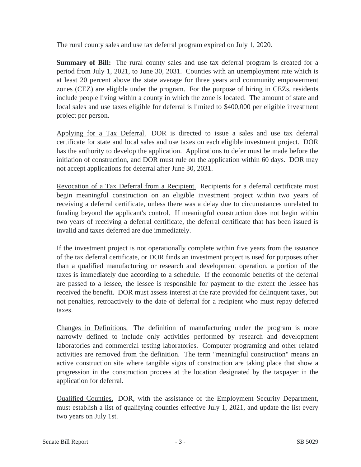The rural county sales and use tax deferral program expired on July 1, 2020.

**Summary of Bill:** The rural county sales and use tax deferral program is created for a period from July 1, 2021, to June 30, 2031. Counties with an unemployment rate which is at least 20 percent above the state average for three years and community empowerment zones (CEZ) are eligible under the program. For the purpose of hiring in CEZs, residents include people living within a county in which the zone is located. The amount of state and local sales and use taxes eligible for deferral is limited to \$400,000 per eligible investment project per person.

Applying for a Tax Deferral. DOR is directed to issue a sales and use tax deferral certificate for state and local sales and use taxes on each eligible investment project. DOR has the authority to develop the application. Applications to defer must be made before the initiation of construction, and DOR must rule on the application within 60 days. DOR may not accept applications for deferral after June 30, 2031.

Revocation of a Tax Deferral from a Recipient. Recipients for a deferral certificate must begin meaningful construction on an eligible investment project within two years of receiving a deferral certificate, unless there was a delay due to circumstances unrelated to funding beyond the applicant's control. If meaningful construction does not begin within two years of receiving a deferral certificate, the deferral certificate that has been issued is invalid and taxes deferred are due immediately.

If the investment project is not operationally complete within five years from the issuance of the tax deferral certificate, or DOR finds an investment project is used for purposes other than a qualified manufacturing or research and development operation, a portion of the taxes is immediately due according to a schedule. If the economic benefits of the deferral are passed to a lessee, the lessee is responsible for payment to the extent the lessee has received the benefit. DOR must assess interest at the rate provided for delinquent taxes, but not penalties, retroactively to the date of deferral for a recipient who must repay deferred taxes.

Changes in Definitions. The definition of manufacturing under the program is more narrowly defined to include only activities performed by research and development laboratories and commercial testing laboratories. Computer programing and other related activities are removed from the definition. The term "meaningful construction" means an active construction site where tangible signs of construction are taking place that show a progression in the construction process at the location designated by the taxpayer in the application for deferral.

Qualified Counties. DOR, with the assistance of the Employment Security Department, must establish a list of qualifying counties effective July 1, 2021, and update the list every two years on July 1st.